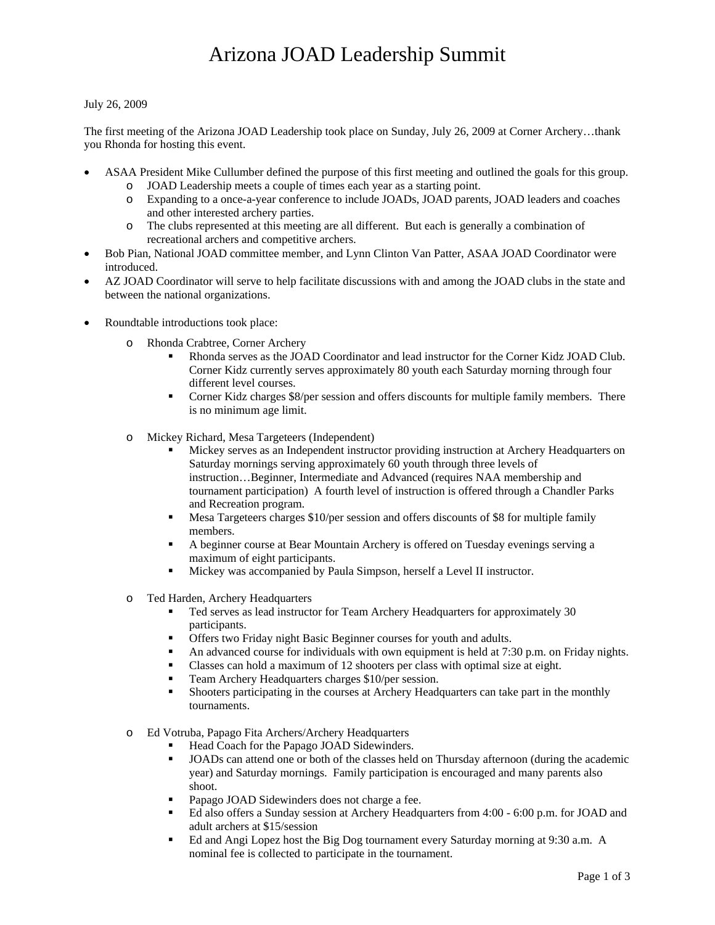## Arizona JOAD Leadership Summit

## July 26, 2009

The first meeting of the Arizona JOAD Leadership took place on Sunday, July 26, 2009 at Corner Archery…thank you Rhonda for hosting this event.

- ASAA President Mike Cullumber defined the purpose of this first meeting and outlined the goals for this group.
	- o JOAD Leadership meets a couple of times each year as a starting point.
		- o Expanding to a once-a-year conference to include JOADs, JOAD parents, JOAD leaders and coaches and other interested archery parties.
		- o The clubs represented at this meeting are all different. But each is generally a combination of recreational archers and competitive archers.
- Bob Pian, National JOAD committee member, and Lynn Clinton Van Patter, ASAA JOAD Coordinator were introduced.
- AZ JOAD Coordinator will serve to help facilitate discussions with and among the JOAD clubs in the state and between the national organizations.
- Roundtable introductions took place:
	- o Rhonda Crabtree, Corner Archery
		- Rhonda serves as the JOAD Coordinator and lead instructor for the Corner Kidz JOAD Club. Corner Kidz currently serves approximately 80 youth each Saturday morning through four different level courses.
		- Corner Kidz charges \$8/per session and offers discounts for multiple family members. There is no minimum age limit.
	- o Mickey Richard, Mesa Targeteers (Independent)
		- Mickey serves as an Independent instructor providing instruction at Archery Headquarters on Saturday mornings serving approximately 60 youth through three levels of instruction…Beginner, Intermediate and Advanced (requires NAA membership and tournament participation) A fourth level of instruction is offered through a Chandler Parks and Recreation program.
		- Mesa Targeteers charges \$10/per session and offers discounts of \$8 for multiple family members.
		- A beginner course at Bear Mountain Archery is offered on Tuesday evenings serving a maximum of eight participants.
		- Mickey was accompanied by Paula Simpson, herself a Level II instructor.
	- o Ted Harden, Archery Headquarters
		- Ted serves as lead instructor for Team Archery Headquarters for approximately 30 participants.
		- Offers two Friday night Basic Beginner courses for youth and adults.
		- An advanced course for individuals with own equipment is held at 7:30 p.m. on Friday nights.
		- Classes can hold a maximum of 12 shooters per class with optimal size at eight.
		- **Team Archery Headquarters charges \$10/per session.**
		- Shooters participating in the courses at Archery Headquarters can take part in the monthly tournaments.
	- o Ed Votruba, Papago Fita Archers/Archery Headquarters
		- Head Coach for the Papago JOAD Sidewinders.
		- JOADs can attend one or both of the classes held on Thursday afternoon (during the academic year) and Saturday mornings. Family participation is encouraged and many parents also shoot.
		- Papago JOAD Sidewinders does not charge a fee.
		- Ed also offers a Sunday session at Archery Headquarters from 4:00 6:00 p.m. for JOAD and adult archers at \$15/session
		- Ed and Angi Lopez host the Big Dog tournament every Saturday morning at 9:30 a.m. A nominal fee is collected to participate in the tournament.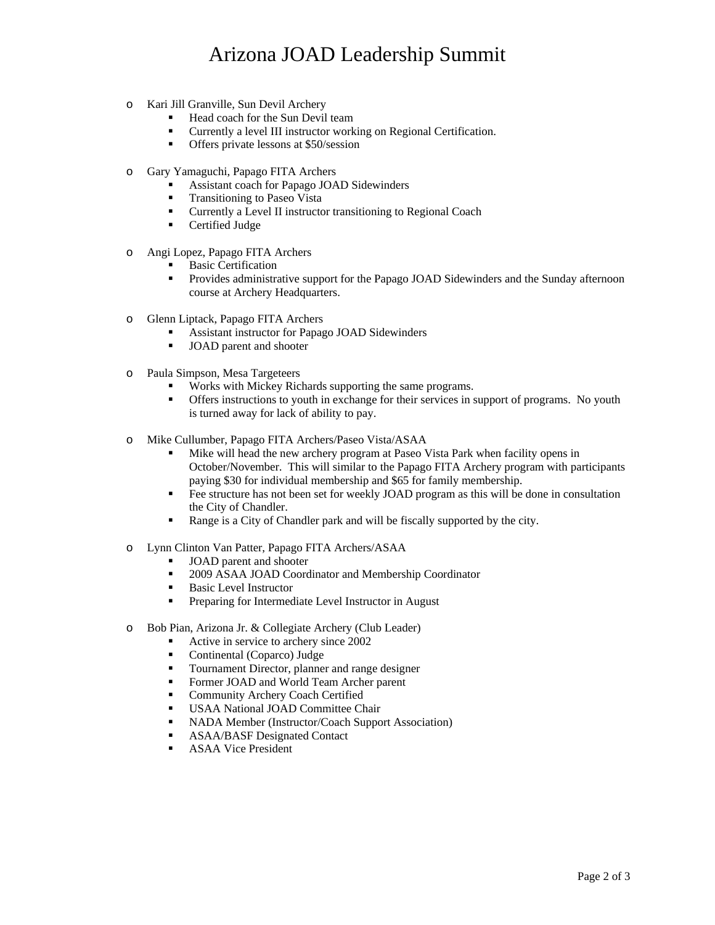## Arizona JOAD Leadership Summit

- o Kari Jill Granville, Sun Devil Archery
	- Head coach for the Sun Devil team
	- Currently a level III instructor working on Regional Certification.
	- Offers private lessons at \$50/session
- o Gary Yamaguchi, Papago FITA Archers
	- Assistant coach for Papago JOAD Sidewinders
	- **Transitioning to Paseo Vista**
	- Currently a Level II instructor transitioning to Regional Coach
	- Certified Judge
- o Angi Lopez, Papago FITA Archers
	- Basic Certification
	- **Provides administrative support for the Papago JOAD Sidewinders and the Sunday afternoon** course at Archery Headquarters.
- o Glenn Liptack, Papago FITA Archers
	- Assistant instructor for Papago JOAD Sidewinders
	- **JOAD** parent and shooter
- o Paula Simpson, Mesa Targeteers
	- Works with Mickey Richards supporting the same programs.
	- Offers instructions to youth in exchange for their services in support of programs. No youth is turned away for lack of ability to pay.
- o Mike Cullumber, Papago FITA Archers/Paseo Vista/ASAA
	- Mike will head the new archery program at Paseo Vista Park when facility opens in October/November. This will similar to the Papago FITA Archery program with participants paying \$30 for individual membership and \$65 for family membership.
	- Fee structure has not been set for weekly JOAD program as this will be done in consultation the City of Chandler.
	- Range is a City of Chandler park and will be fiscally supported by the city.
- o Lynn Clinton Van Patter, Papago FITA Archers/ASAA
	- JOAD parent and shooter
	- 2009 ASAA JOAD Coordinator and Membership Coordinator
	- Basic Level Instructor
	- **Preparing for Intermediate Level Instructor in August**
- o Bob Pian, Arizona Jr. & Collegiate Archery (Club Leader)
	- Active in service to archery since 2002
	- Continental (Coparco) Judge
	- **Tournament Director, planner and range designer**
	- Former JOAD and World Team Archer parent
	- **Community Archery Coach Certified**
	- **USAA National JOAD Committee Chair**
	- NADA Member (Instructor/Coach Support Association)
	- **ASAA/BASF Designated Contact**
	- ASAA Vice President